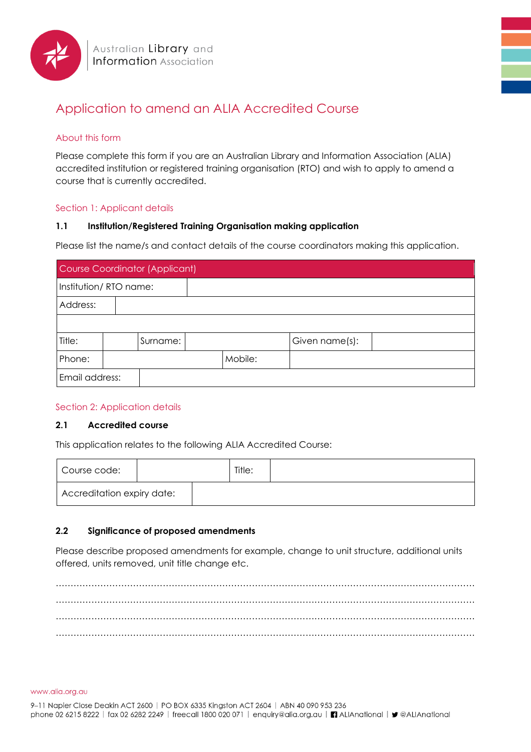

# Application to amend an ALIA Accredited Course

# About this form

Please complete this form if you are an Australian Library and Information Association (ALIA) accredited institution or registered training organisation (RTO) and wish to apply to amend a course that is currently accredited.

# Section 1: Applicant details

# **1.1 Institution/Registered Training Organisation making application**

Please list the name/s and contact details of the course coordinators making this application.

| <b>Course Coordinator (Applicant)</b> |  |          |         |  |  |                |  |
|---------------------------------------|--|----------|---------|--|--|----------------|--|
| Institution/RTO name:                 |  |          |         |  |  |                |  |
| Address:                              |  |          |         |  |  |                |  |
|                                       |  |          |         |  |  |                |  |
| Title:                                |  | Surname: |         |  |  | Given name(s): |  |
| Phone:                                |  |          | Mobile: |  |  |                |  |
| Email address:                        |  |          |         |  |  |                |  |

#### Section 2: Application details

#### **2.1 Accredited course**

This application relates to the following ALIA Accredited Course:

| Course code:               |  | Title: |  |
|----------------------------|--|--------|--|
| Accreditation expiry date: |  |        |  |

# **2.2 Significance of proposed amendments**

Please describe proposed amendments for example, change to unit structure, additional units offered, units removed, unit title change etc.

…………………………………………………………………………………………………………………………… …………………………………………………………………………………………………………………………… …………………………………………………………………………………………………………………………… ……………………………………………………………………………………………………………………………

www.alia.org.au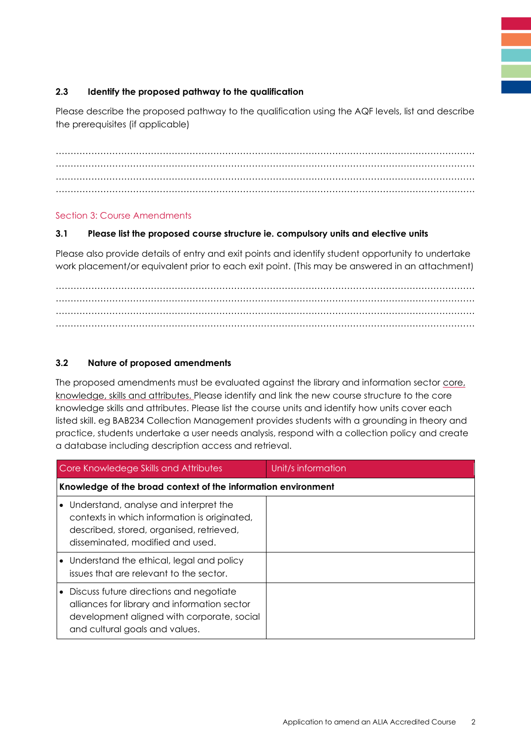# **2.3 Identify the proposed pathway to the qualification**

Please describe the proposed pathway to the qualification using the AQF levels, list and describe the prerequisites (if applicable)

…………………………………………………………………………………………………………………………… …………………………………………………………………………………………………………………………… …………………………………………………………………………………………………………………………… ……………………………………………………………………………………………………………………………

#### Section 3: Course Amendments

#### **3.1 Please list the proposed course structure ie. compulsory units and elective units**

Please also provide details of entry and exit points and identify student opportunity to undertake work placement/or equivalent prior to each exit point. (This may be answered in an attachment)

…………………………………………………………………………………………………………………………… …………………………………………………………………………………………………………………………… …………………………………………………………………………………………………………………………… ……………………………………………………………………………………………………………………………

# **3.2 Nature of proposed amendments**

The proposed amendments must be evaluated against the library and information sector core, [knowledge, skills and attributes. P](https://www.alia.org.au/about-alia/policies-standards-and-guidelines/library-and-information-sector-core-knowledge-skills-and-attributes)lease identify and link the new course structure to the core knowledge skills and attributes. Please list the course units and identify how units cover each listed skill. eg BAB234 Collection Management provides students with a grounding in theory and practice, students undertake a user needs analysis, respond with a collection policy and create a database including description access and retrieval.

| Core Knowledege Skills and Attributes                                                                                                                                   | Unit/s information |
|-------------------------------------------------------------------------------------------------------------------------------------------------------------------------|--------------------|
| Knowledge of the broad context of the information environment                                                                                                           |                    |
| Understand, analyse and interpret the<br>contexts in which information is originated,<br>described, stored, organised, retrieved,<br>disseminated, modified and used.   |                    |
| • Understand the ethical, legal and policy<br>issues that are relevant to the sector.                                                                                   |                    |
| Discuss future directions and negotiate<br>alliances for library and information sector<br>development aligned with corporate, social<br>and cultural goals and values. |                    |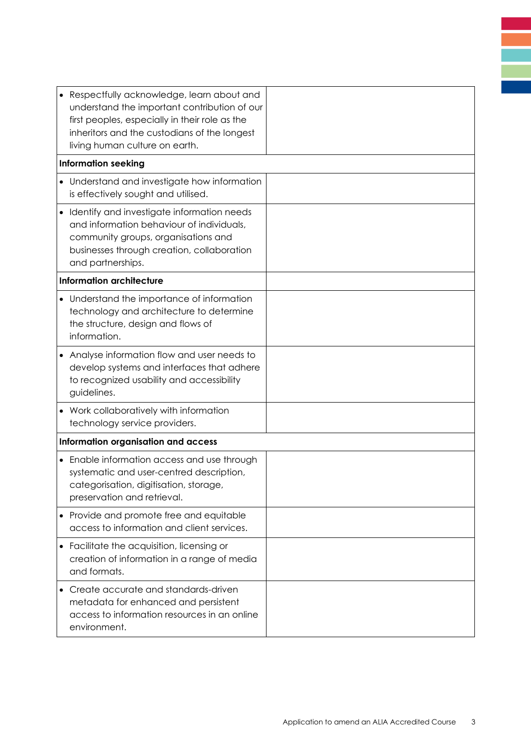| • Respectfully acknowledge, learn about and<br>understand the important contribution of our<br>first peoples, especially in their role as the<br>inheritors and the custodians of the longest<br>living human culture on earth. |  |
|---------------------------------------------------------------------------------------------------------------------------------------------------------------------------------------------------------------------------------|--|
| <b>Information seeking</b>                                                                                                                                                                                                      |  |
| • Understand and investigate how information<br>is effectively sought and utilised.                                                                                                                                             |  |
| • Identify and investigate information needs<br>and information behaviour of individuals,<br>community groups, organisations and<br>businesses through creation, collaboration<br>and partnerships.                             |  |
| <b>Information architecture</b>                                                                                                                                                                                                 |  |
| • Understand the importance of information<br>technology and architecture to determine<br>the structure, design and flows of<br>information.                                                                                    |  |
| • Analyse information flow and user needs to<br>develop systems and interfaces that adhere<br>to recognized usability and accessibility<br>guidelines.                                                                          |  |
| • Work collaboratively with information<br>technology service providers.                                                                                                                                                        |  |
| Information organisation and access                                                                                                                                                                                             |  |
| • Enable information access and use through<br>systematic and user-centred description,<br>categorisation, digitisation, storage,<br>preservation and retrieval.                                                                |  |
| • Provide and promote free and equitable<br>access to information and client services.                                                                                                                                          |  |
| Facilitate the acquisition, licensing or<br>creation of information in a range of media<br>and formats.                                                                                                                         |  |
| Create accurate and standards-driven<br>metadata for enhanced and persistent<br>access to information resources in an online<br>environment.                                                                                    |  |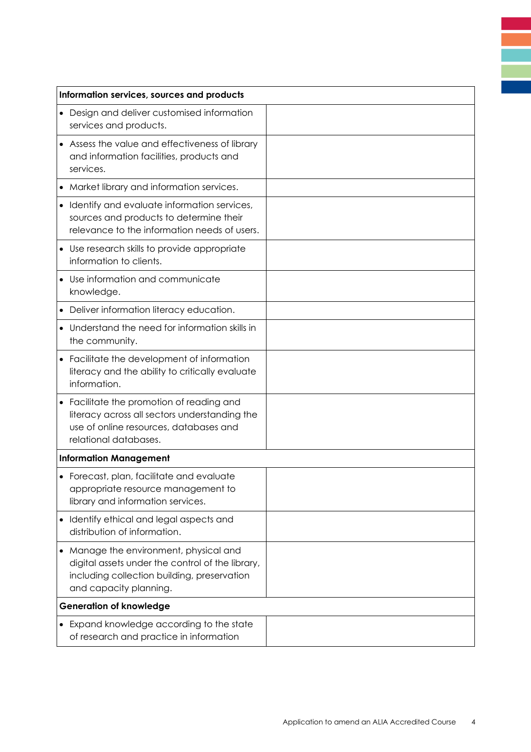| Information services, sources and products |                                                                                                                                                                   |  |  |  |
|--------------------------------------------|-------------------------------------------------------------------------------------------------------------------------------------------------------------------|--|--|--|
|                                            | • Design and deliver customised information<br>services and products.                                                                                             |  |  |  |
|                                            | • Assess the value and effectiveness of library<br>and information facilities, products and<br>services.                                                          |  |  |  |
|                                            | • Market library and information services.                                                                                                                        |  |  |  |
|                                            | • Identify and evaluate information services,<br>sources and products to determine their<br>relevance to the information needs of users.                          |  |  |  |
|                                            | • Use research skills to provide appropriate<br>information to clients.                                                                                           |  |  |  |
|                                            | • Use information and communicate<br>knowledge.                                                                                                                   |  |  |  |
|                                            | Deliver information literacy education.                                                                                                                           |  |  |  |
|                                            | Understand the need for information skills in<br>the community.                                                                                                   |  |  |  |
|                                            | • Facilitate the development of information<br>literacy and the ability to critically evaluate<br>information.                                                    |  |  |  |
|                                            | • Facilitate the promotion of reading and<br>literacy across all sectors understanding the<br>use of online resources, databases and<br>relational databases.     |  |  |  |
|                                            | <b>Information Management</b>                                                                                                                                     |  |  |  |
|                                            | • Forecast, plan, facilitate and evaluate<br>appropriate resource management to<br>library and information services.                                              |  |  |  |
|                                            | • Identify ethical and legal aspects and<br>distribution of information.                                                                                          |  |  |  |
| $\bullet$                                  | Manage the environment, physical and<br>digital assets under the control of the library,<br>including collection building, preservation<br>and capacity planning. |  |  |  |
|                                            | <b>Generation of knowledge</b>                                                                                                                                    |  |  |  |
|                                            | • Expand knowledge according to the state<br>of research and practice in information                                                                              |  |  |  |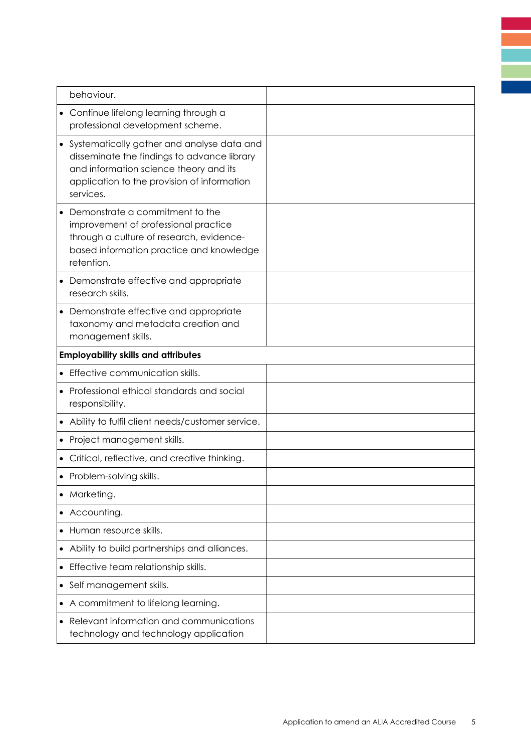|           | behaviour.                                                                                                                                                                                        |  |
|-----------|---------------------------------------------------------------------------------------------------------------------------------------------------------------------------------------------------|--|
|           | • Continue lifelong learning through a<br>professional development scheme.                                                                                                                        |  |
|           | • Systematically gather and analyse data and<br>disseminate the findings to advance library<br>and information science theory and its<br>application to the provision of information<br>services. |  |
|           | • Demonstrate a commitment to the<br>improvement of professional practice<br>through a culture of research, evidence-<br>based information practice and knowledge<br>retention.                   |  |
|           | • Demonstrate effective and appropriate<br>research skills.                                                                                                                                       |  |
|           | • Demonstrate effective and appropriate<br>taxonomy and metadata creation and<br>management skills.                                                                                               |  |
|           | <b>Employability skills and attributes</b>                                                                                                                                                        |  |
|           | • Effective communication skills.                                                                                                                                                                 |  |
|           | • Professional ethical standards and social<br>responsibility.                                                                                                                                    |  |
|           | Ability to fulfil client needs/customer service.                                                                                                                                                  |  |
|           | • Project management skills.                                                                                                                                                                      |  |
|           | • Critical, reflective, and creative thinking.                                                                                                                                                    |  |
|           | • Problem-solving skills.                                                                                                                                                                         |  |
|           | Marketing.                                                                                                                                                                                        |  |
|           | Accounting.                                                                                                                                                                                       |  |
|           | • Human resource skills.                                                                                                                                                                          |  |
|           | Ability to build partnerships and alliances.                                                                                                                                                      |  |
|           | Effective team relationship skills.                                                                                                                                                               |  |
| $\bullet$ | Self management skills.                                                                                                                                                                           |  |
|           | A commitment to lifelong learning.                                                                                                                                                                |  |
| $\bullet$ | Relevant information and communications<br>technology and technology application                                                                                                                  |  |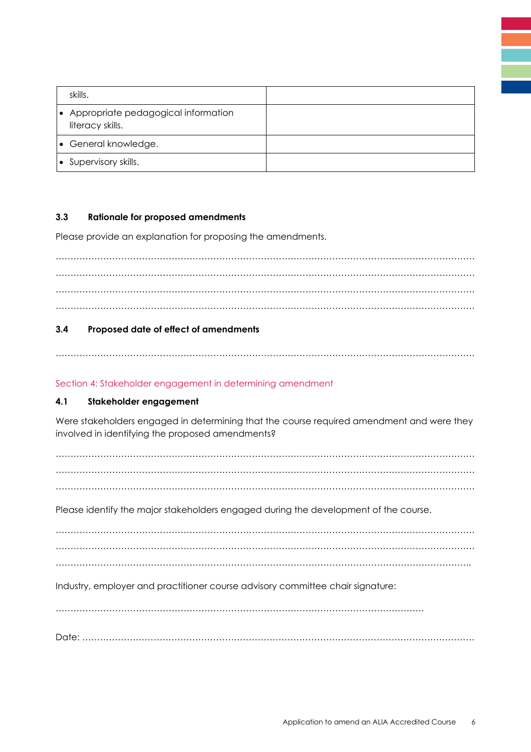| skills.                                                   |  |
|-----------------------------------------------------------|--|
| • Appropriate pedagogical information<br>literacy skills. |  |
| • General knowledge.                                      |  |
| • Supervisory skills.                                     |  |

# **3.3 Rationale for proposed amendments**

Please provide an explanation for proposing the amendments.

…………………………………………………………………………………………………………………………… . The contract of the contract of the contract of the contract of the contract of the contract of the contract of the contract of the contract of the contract of the contract of the contract of the contract of the contrac …………………………………………………………………………………………………………………………… . The contract of the contract of the contract of the contract of the contract of the contract of the contract of the contract of the contract of the contract of the contract of the contract of the contract of the contrac

# **3.4 Proposed date of effect of amendments**

……………………………………………………………………………………………………………………………

# Section 4: Stakeholder engagement in determining amendment

# **4.1 Stakeholder engagement**

Were stakeholders engaged in determining that the course required amendment and were they involved in identifying the proposed amendments?

…………………………………………………………………………………………………………………………… …………………………………………………………………………………………………………………………… …………………………………………………………………………………………………………………………… Please identify the major stakeholders engaged during the development of the course. …………………………………………………………………………………………………………………………… . The contract of the contract of the contract of the contract of the contract of the contract of the contract of the contract of the contract of the contract of the contract of the contract of the contract of the contrac ………………………………………………………………………………………………………………………….. Industry, employer and practitioner course advisory committee chair signature: ……………………………………………………………………………………………………………. Date: ……………………………………………………………………………………………………………………